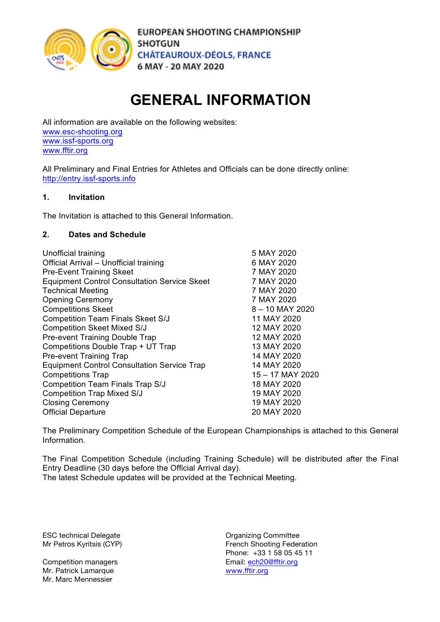

## **GENERAL INFORMATION**

All information are available on the following websites: www.esc-shooting.org www.issf-sports.org www.fftir.org

All Preliminary and Final Entries for Athletes and Officials can be done directly online: http://entry.issf-sports.info

#### **1. Invitation**

The Invitation is attached to this General Information.

#### **2. Dates and Schedule**

| Unofficial training                                 | 5 MAY 2020       |
|-----------------------------------------------------|------------------|
| Official Arrival - Unofficial training              | 6 MAY 2020       |
| <b>Pre-Event Training Skeet</b>                     | 7 MAY 2020       |
| <b>Equipment Control Consultation Service Skeet</b> | 7 MAY 2020       |
| <b>Technical Meeting</b>                            | 7 MAY 2020       |
| <b>Opening Ceremony</b>                             | 7 MAY 2020       |
| <b>Competitions Skeet</b>                           | 8 - 10 MAY 2020  |
| <b>Competition Team Finals Skeet S/J</b>            | 11 MAY 2020      |
| <b>Competition Skeet Mixed S/J</b>                  | 12 MAY 2020      |
| <b>Pre-event Training Double Trap</b>               | 12 MAY 2020      |
| Competitions Double Trap + UT Trap                  | 13 MAY 2020      |
| <b>Pre-event Training Trap</b>                      | 14 MAY 2020      |
| <b>Equipment Control Consultation Service Trap</b>  | 14 MAY 2020      |
| <b>Competitions Trap</b>                            | 15 – 17 MAY 2020 |
| Competition Team Finals Trap S/J                    | 18 MAY 2020      |
| <b>Competition Trap Mixed S/J</b>                   | 19 MAY 2020      |
| <b>Closing Ceremony</b>                             | 19 MAY 2020      |
| <b>Official Departure</b>                           | 20 MAY 2020      |

The Preliminary Competition Schedule of the European Championships is attached to this General Information.

The Final Competition Schedule (including Training Schedule) will be distributed after the Final Entry Deadline (30 days before the Official Arrival day). The latest Schedule updates will be provided at the Technical Meeting.

ESC technical Delegate **Committee** Committee

Mr. Patrick Lamarque Mr. Marc Mennessier

Mr Petros Kyritsis (CYP) The Trench Shooting Federation Phone: +33 1 58 05 45 11 Competition managers<br>
Mr. Patrick Lamarque<br>
Mr. Patrick Lamarque<br>
Email: ech20@fftir.org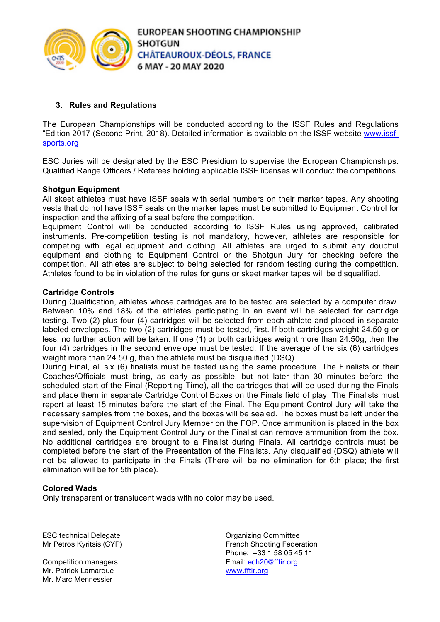

#### **3. Rules and Regulations**

The European Championships will be conducted according to the ISSF Rules and Regulations "Edition 2017 (Second Print, 2018). Detailed information is available on the ISSF website www.issfsports.org

ESC Juries will be designated by the ESC Presidium to supervise the European Championships. Qualified Range Officers / Referees holding applicable ISSF licenses will conduct the competitions.

#### **Shotgun Equipment**

All skeet athletes must have ISSF seals with serial numbers on their marker tapes. Any shooting vests that do not have ISSF seals on the marker tapes must be submitted to Equipment Control for inspection and the affixing of a seal before the competition.

Equipment Control will be conducted according to ISSF Rules using approved, calibrated instruments. Pre-competition testing is not mandatory, however, athletes are responsible for competing with legal equipment and clothing. All athletes are urged to submit any doubtful equipment and clothing to Equipment Control or the Shotgun Jury for checking before the competition. All athletes are subject to being selected for random testing during the competition. Athletes found to be in violation of the rules for guns or skeet marker tapes will be disqualified.

#### **Cartridge Controls**

During Qualification, athletes whose cartridges are to be tested are selected by a computer draw. Between 10% and 18% of the athletes participating in an event will be selected for cartridge testing. Two (2) plus four (4) cartridges will be selected from each athlete and placed in separate labeled envelopes. The two (2) cartridges must be tested, first. If both cartridges weight 24.50 g or less, no further action will be taken. If one (1) or both cartridges weight more than 24.50g, then the four (4) cartridges in the second envelope must be tested. If the average of the six (6) cartridges weight more than 24.50 g, then the athlete must be disqualified (DSQ).

During Final, all six (6) finalists must be tested using the same procedure. The Finalists or their Coaches/Officials must bring, as early as possible, but not later than 30 minutes before the scheduled start of the Final (Reporting Time), all the cartridges that will be used during the Finals and place them in separate Cartridge Control Boxes on the Finals field of play. The Finalists must report at least 15 minutes before the start of the Final. The Equipment Control Jury will take the necessary samples from the boxes, and the boxes will be sealed. The boxes must be left under the supervision of Equipment Control Jury Member on the FOP. Once ammunition is placed in the box and sealed, only the Equipment Control Jury or the Finalist can remove ammunition from the box. No additional cartridges are brought to a Finalist during Finals. All cartridge controls must be completed before the start of the Presentation of the Finalists. Any disqualified (DSQ) athlete will not be allowed to participate in the Finals (There will be no elimination for 6th place; the first elimination will be for 5th place).

#### **Colored Wads**

Only transparent or translucent wads with no color may be used.

ESC technical Delegate **Committee** Committee

Competition managers example and the mail: ech20@fftir.org Mr. Patrick Lamarque **WARES** WWW.fftir.org Mr. Marc Mennessier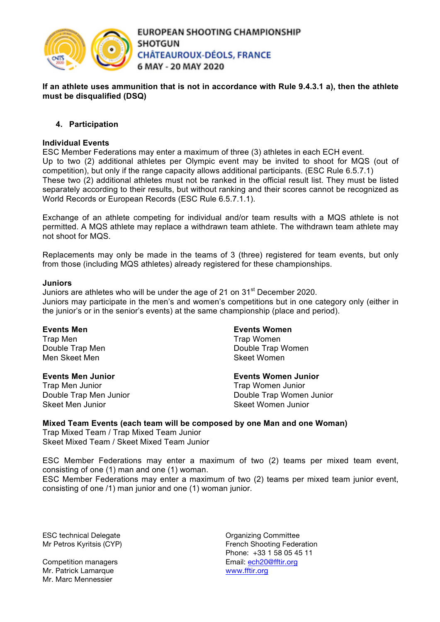

#### **If an athlete uses ammunition that is not in accordance with Rule 9.4.3.1 a), then the athlete must be disqualified (DSQ)**

#### **4. Participation**

#### **Individual Events**

ESC Member Federations may enter a maximum of three (3) athletes in each ECH event. Up to two (2) additional athletes per Olympic event may be invited to shoot for MQS (out of competition), but only if the range capacity allows additional participants. (ESC Rule 6.5.7.1) These two (2) additional athletes must not be ranked in the official result list. They must be listed separately according to their results, but without ranking and their scores cannot be recognized as World Records or European Records (ESC Rule 6.5.7.1.1).

Exchange of an athlete competing for individual and/or team results with a MQS athlete is not permitted. A MQS athlete may replace a withdrawn team athlete. The withdrawn team athlete may not shoot for MQS.

Replacements may only be made in the teams of 3 (three) registered for team events, but only from those (including MQS athletes) already registered for these championships.

#### **Juniors**

Juniors are athletes who will be under the age of 21 on  $31<sup>st</sup>$  December 2020. Juniors may participate in the men's and women's competitions but in one category only (either in the junior's or in the senior's events) at the same championship (place and period).

#### **Events Men**

Trap Men Double Trap Men Men Skeet Men

#### **Events Men Junior**

Trap Men Junior Double Trap Men Junior Skeet Men Junior

#### **Events Women**

Trap Women Double Trap Women Skeet Women

#### **Events Women Junior**

Trap Women Junior Double Trap Women Junior Skeet Women Junior

#### **Mixed Team Events (each team will be composed by one Man and one Woman)**

Trap Mixed Team / Trap Mixed Team Junior Skeet Mixed Team / Skeet Mixed Team Junior

ESC Member Federations may enter a maximum of two (2) teams per mixed team event, consisting of one (1) man and one (1) woman.

ESC Member Federations may enter a maximum of two (2) teams per mixed team junior event, consisting of one /1) man junior and one (1) woman junior.

ESC technical Delegate **Committee** Committee

Competition managers example and the mail: ech20@fftir.org Mr. Patrick Lamarque **WARES** WWW.fftir.org Mr. Marc Mennessier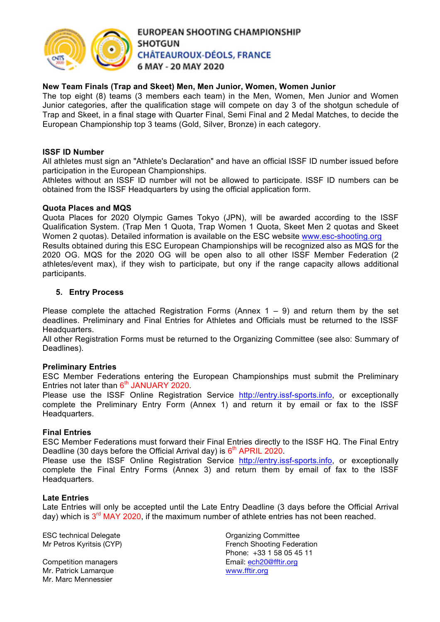

#### **New Team Finals (Trap and Skeet) Men, Men Junior, Women, Women Junior**

The top eight (8) teams (3 members each team) in the Men, Women, Men Junior and Women Junior categories, after the qualification stage will compete on day 3 of the shotgun schedule of Trap and Skeet, in a final stage with Quarter Final, Semi Final and 2 Medal Matches, to decide the European Championship top 3 teams (Gold, Silver, Bronze) in each category.

#### **ISSF ID Number**

All athletes must sign an "Athlete's Declaration" and have an official ISSF ID number issued before participation in the European Championships.

Athletes without an ISSF ID number will not be allowed to participate. ISSF ID numbers can be obtained from the ISSF Headquarters by using the official application form.

#### **Quota Places and MQS**

Quota Places for 2020 Olympic Games Tokyo (JPN), will be awarded according to the ISSF Qualification System. (Trap Men 1 Quota, Trap Women 1 Quota, Skeet Men 2 quotas and Skeet Women 2 quotas). Detailed information is available on the ESC website www.esc-shooting.org Results obtained during this ESC European Championships will be recognized also as MQS for the 2020 OG. MQS for the 2020 OG will be open also to all other ISSF Member Federation (2 athletes/event max), if they wish to participate, but ony if the range capacity allows additional participants.

#### **5. Entry Process**

Please complete the attached Registration Forms (Annex  $1 - 9$ ) and return them by the set deadlines. Preliminary and Final Entries for Athletes and Officials must be returned to the ISSF Headquarters.

All other Registration Forms must be returned to the Organizing Committee (see also: Summary of Deadlines).

#### **Preliminary Entries**

ESC Member Federations entering the European Championships must submit the Preliminary Entries not later than  $6<sup>th</sup>$  JANUARY 2020.

Please use the ISSF Online Registration Service http://entry.issf-sports.info, or exceptionally complete the Preliminary Entry Form (Annex 1) and return it by email or fax to the ISSF Headquarters.

#### **Final Entries**

ESC Member Federations must forward their Final Entries directly to the ISSF HQ. The Final Entry Deadline (30 days before the Official Arrival day) is  $6<sup>th</sup>$  APRIL 2020.

Please use the ISSF Online Registration Service http://entry.issf-sports.info, or exceptionally complete the Final Entry Forms (Annex 3) and return them by email of fax to the ISSF Headquarters.

#### **Late Entries**

Late Entries will only be accepted until the Late Entry Deadline (3 days before the Official Arrival day) which is  $3<sup>rd</sup>$  MAY 2020, if the maximum number of athlete entries has not been reached.

ESC technical Delegate **Committee** Committee

Mr. Patrick Lamarque **WARES** WWW.fftir.org Mr. Marc Mennessier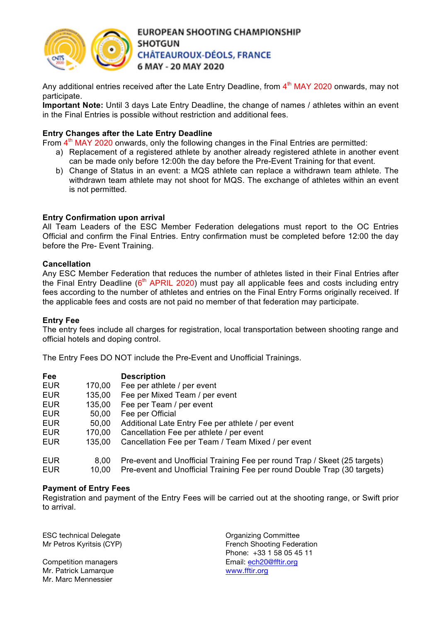

Any additional entries received after the Late Entry Deadline, from  $4<sup>th</sup>$  MAY 2020 onwards, may not participate.

**Important Note:** Until 3 days Late Entry Deadline, the change of names / athletes within an event in the Final Entries is possible without restriction and additional fees.

#### **Entry Changes after the Late Entry Deadline**

From  $4<sup>th</sup>$  MAY 2020 onwards, only the following changes in the Final Entries are permitted:

- a) Replacement of a registered athlete by another already registered athlete in another event can be made only before 12:00h the day before the Pre-Event Training for that event.
- b) Change of Status in an event: a MQS athlete can replace a withdrawn team athlete. The withdrawn team athlete may not shoot for MQS. The exchange of athletes within an event is not permitted.

#### **Entry Confirmation upon arrival**

All Team Leaders of the ESC Member Federation delegations must report to the OC Entries Official and confirm the Final Entries. Entry confirmation must be completed before 12:00 the day before the Pre- Event Training.

#### **Cancellation**

Any ESC Member Federation that reduces the number of athletes listed in their Final Entries after the Final Entry Deadline  $(6<sup>th</sup> APRIL 2020)$  must pay all applicable fees and costs including entry fees according to the number of athletes and entries on the Final Entry Forms originally received. If the applicable fees and costs are not paid no member of that federation may participate.

#### **Entry Fee**

The entry fees include all charges for registration, local transportation between shooting range and official hotels and doping control.

The Entry Fees DO NOT include the Pre-Event and Unofficial Trainings.

| Fee        |        | <b>Description</b>                                                        |
|------------|--------|---------------------------------------------------------------------------|
| <b>EUR</b> | 170,00 | Fee per athlete / per event                                               |
| <b>EUR</b> | 135,00 | Fee per Mixed Team / per event                                            |
| <b>EUR</b> | 135,00 | Fee per Team / per event                                                  |
| <b>EUR</b> | 50,00  | Fee per Official                                                          |
| <b>EUR</b> | 50,00  | Additional Late Entry Fee per athlete / per event                         |
| <b>EUR</b> | 170,00 | Cancellation Fee per athlete / per event                                  |
| <b>EUR</b> | 135,00 | Cancellation Fee per Team / Team Mixed / per event                        |
| <b>EUR</b> | 8,00   | Pre-event and Unofficial Training Fee per round Trap / Skeet (25 targets) |
| <b>EUR</b> | 10.00  | Pre-event and Unofficial Training Fee per round Double Trap (30 targets)  |

#### **Payment of Entry Fees**

Registration and payment of the Entry Fees will be carried out at the shooting range, or Swift prior to arrival.

ESC technical Delegate **Committee** Committee

Mr. Patrick Lamarque **WARES** WWW.fftir.org Mr. Marc Mennessier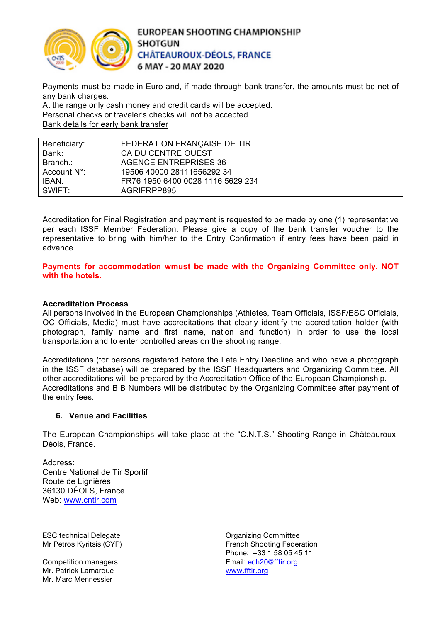

Payments must be made in Euro and, if made through bank transfer, the amounts must be net of any bank charges.

At the range only cash money and credit cards will be accepted. Personal checks or traveler's checks will not be accepted. Bank details for early bank transfer

| Beneficiary: | FEDERATION FRANÇAISE DE TIR       |
|--------------|-----------------------------------|
| Bank:        | CA DU CENTRE OUEST                |
| Branch.:     | <b>AGENCE ENTREPRISES 36</b>      |
| Account N°:  | 19506 40000 28111656292 34        |
| IBAN:        | FR76 1950 6400 0028 1116 5629 234 |
| SWIFT:       | AGRIFRPP895                       |

Accreditation for Final Registration and payment is requested to be made by one (1) representative per each ISSF Member Federation. Please give a copy of the bank transfer voucher to the representative to bring with him/her to the Entry Confirmation if entry fees have been paid in advance.

**Payments for accommodation wmust be made with the Organizing Committee only, NOT with the hotels.** 

#### **Accreditation Process**

All persons involved in the European Championships (Athletes, Team Officials, ISSF/ESC Officials, OC Officials, Media) must have accreditations that clearly identify the accreditation holder (with photograph, family name and first name, nation and function) in order to use the local transportation and to enter controlled areas on the shooting range.

Accreditations (for persons registered before the Late Entry Deadline and who have a photograph in the ISSF database) will be prepared by the ISSF Headquarters and Organizing Committee. All other accreditations will be prepared by the Accreditation Office of the European Championship. Accreditations and BIB Numbers will be distributed by the Organizing Committee after payment of the entry fees.

#### **6. Venue and Facilities**

The European Championships will take place at the "C.N.T.S." Shooting Range in Châteauroux-Déols, France.

Address: Centre National de Tir Sportif Route de Lignières 36130 DÉOLS, France Web: www.cntir.com

ESC technical Delegate **Committee** Committee

Competition managers example and the mail: ech20@fftir.org Mr. Patrick Lamarque **WARES** WWW.fftir.org Mr. Marc Mennessier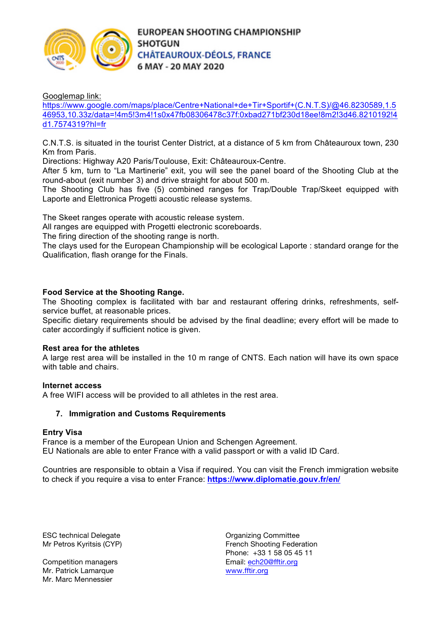

Googlemap link:

https://www.google.com/maps/place/Centre+National+de+Tir+Sportif+(C.N.T.S)/@46.8230589,1.5 46953,10.33z/data=!4m5!3m4!1s0x47fb08306478c37f:0xbad271bf230d18ee!8m2!3d46.8210192!4 d1.7574319?hl=fr

C.N.T.S. is situated in the tourist Center District, at a distance of 5 km from Châteauroux town, 230 Km from Paris.

Directions: Highway A20 Paris/Toulouse, Exit: Châteauroux-Centre.

After 5 km, turn to "La Martinerie" exit, you will see the panel board of the Shooting Club at the round-about (exit number 3) and drive straight for about 500 m.

The Shooting Club has five (5) combined ranges for Trap/Double Trap/Skeet equipped with Laporte and Elettronica Progetti acoustic release systems.

The Skeet ranges operate with acoustic release system.

All ranges are equipped with Progetti electronic scoreboards.

The firing direction of the shooting range is north.

The clays used for the European Championship will be ecological Laporte : standard orange for the Qualification, flash orange for the Finals.

#### **Food Service at the Shooting Range.**

The Shooting complex is facilitated with bar and restaurant offering drinks, refreshments, selfservice buffet, at reasonable prices.

Specific dietary requirements should be advised by the final deadline; every effort will be made to cater accordingly if sufficient notice is given.

#### **Rest area for the athletes**

A large rest area will be installed in the 10 m range of CNTS. Each nation will have its own space with table and chairs.

#### **Internet access**

A free WIFI access will be provided to all athletes in the rest area.

#### **7. Immigration and Customs Requirements**

#### **Entry Visa**

France is a member of the European Union and Schengen Agreement. EU Nationals are able to enter France with a valid passport or with a valid ID Card.

Countries are responsible to obtain a Visa if required. You can visit the French immigration website to check if you require a visa to enter France: **https://www.diplomatie.gouv.fr/en/**

ESC technical Delegate **Committee** Committee

Mr. Patrick Lamarque **WARES** WWW.fftir.org Mr. Marc Mennessier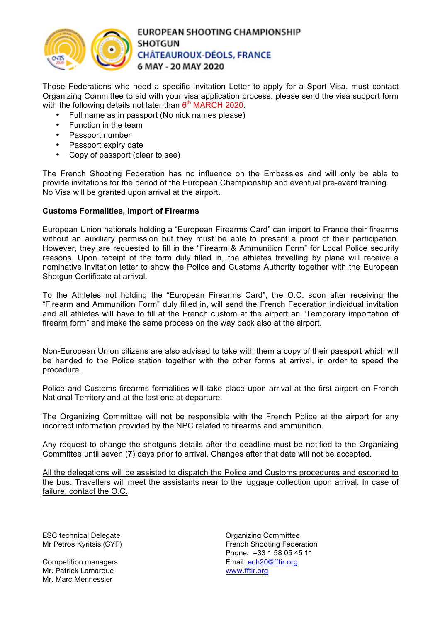

Those Federations who need a specific Invitation Letter to apply for a Sport Visa, must contact Organizing Committee to aid with your visa application process, please send the visa support form with the following details not later than  $6<sup>th</sup>$  MARCH 2020:

- Full name as in passport (No nick names please)
- Function in the team
- Passport number
- Passport expiry date
- Copy of passport (clear to see)

The French Shooting Federation has no influence on the Embassies and will only be able to provide invitations for the period of the European Championship and eventual pre-event training. No Visa will be granted upon arrival at the airport.

#### **Customs Formalities, import of Firearms**

European Union nationals holding a "European Firearms Card" can import to France their firearms without an auxiliary permission but they must be able to present a proof of their participation. However, they are requested to fill in the "Firearm & Ammunition Form" for Local Police security reasons. Upon receipt of the form duly filled in, the athletes travelling by plane will receive a nominative invitation letter to show the Police and Customs Authority together with the European Shotgun Certificate at arrival.

To the Athletes not holding the "European Firearms Card", the O.C. soon after receiving the "Firearm and Ammunition Form" duly filled in, will send the French Federation individual invitation and all athletes will have to fill at the French custom at the airport an "Temporary importation of firearm form" and make the same process on the way back also at the airport.

Non-European Union citizens are also advised to take with them a copy of their passport which will be handed to the Police station together with the other forms at arrival, in order to speed the procedure.

Police and Customs firearms formalities will take place upon arrival at the first airport on French National Territory and at the last one at departure.

The Organizing Committee will not be responsible with the French Police at the airport for any incorrect information provided by the NPC related to firearms and ammunition.

Any request to change the shotguns details after the deadline must be notified to the Organizing Committee until seven (7) days prior to arrival. Changes after that date will not be accepted.

All the delegations will be assisted to dispatch the Police and Customs procedures and escorted to the bus. Travellers will meet the assistants near to the luggage collection upon arrival. In case of failure, contact the O.C.

ESC technical Delegate **Committee** Committee

Mr. Patrick Lamarque **WARES** WWW.fftir.org Mr. Marc Mennessier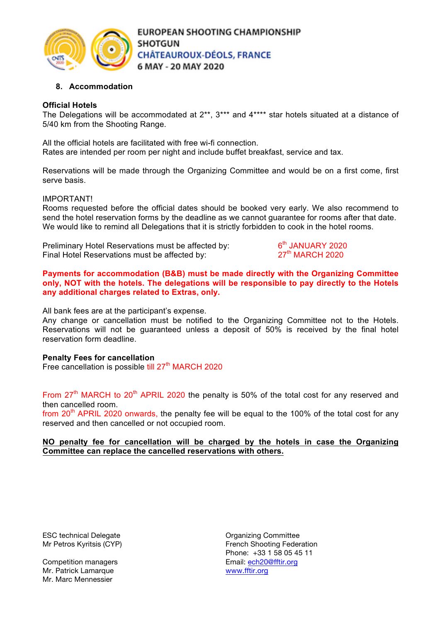

#### **8. Accommodation**

#### **Official Hotels**

The Delegations will be accommodated at 2\*\*, 3\*\*\* and 4\*\*\*\* star hotels situated at a distance of 5/40 km from the Shooting Range.

All the official hotels are facilitated with free wi-fi connection. Rates are intended per room per night and include buffet breakfast, service and tax.

Reservations will be made through the Organizing Committee and would be on a first come, first serve basis.

#### IMPORTANT!

Rooms requested before the official dates should be booked very early. We also recommend to send the hotel reservation forms by the deadline as we cannot guarantee for rooms after that date. We would like to remind all Delegations that it is strictly forbidden to cook in the hotel rooms.

Preliminary Hotel Reservations must be affected by:  $6<sup>th</sup>$  JANUARY 2020<br>Final Hotel Reservations must be affected by:  $27<sup>th</sup>$  MARCH 2020 Final Hotel Reservations must be affected by:

**Payments for accommodation (B&B) must be made directly with the Organizing Committee only, NOT with the hotels. The delegations will be responsible to pay directly to the Hotels any additional charges related to Extras, only.**

All bank fees are at the participant's expense.

Any change or cancellation must be notified to the Organizing Committee not to the Hotels. Reservations will not be guaranteed unless a deposit of 50% is received by the final hotel reservation form deadline.

#### **Penalty Fees for cancellation**

Free cancellation is possible till 27<sup>th</sup> MARCH 2020

From 27<sup>th</sup> MARCH to 20<sup>th</sup> APRIL 2020 the penalty is 50% of the total cost for any reserved and then cancelled room.

from  $20<sup>th</sup>$  APRIL 2020 onwards, the penalty fee will be equal to the 100% of the total cost for any reserved and then cancelled or not occupied room.

#### **NO penalty fee for cancellation will be charged by the hotels in case the Organizing Committee can replace the cancelled reservations with others.**

ESC technical Delegate **Committee** Committee

Mr. Patrick Lamarque **WARES** WWW.fftir.org Mr. Marc Mennessier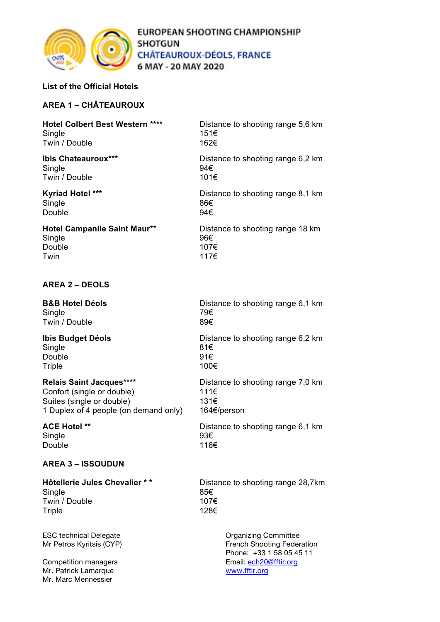

#### **List of the Official Hotels**

### **AREA 1 – CHÂTEAUROUX**

| <b>Hotel Colbert Best Western ****</b><br>Single | Distance to shooting range 5,6 km<br>151€ |
|--------------------------------------------------|-------------------------------------------|
| Twin / Double                                    | 162€                                      |
| <b>Ibis Chateauroux***</b><br>Single             | Distance to shooting range 6,2 km<br>94€  |
| Twin / Double                                    | 101€                                      |
| <b>Kyriad Hotel ***</b>                          | Distance to shooting range 8.1 km         |
| Single                                           | 86€                                       |
| Double                                           | 94€                                       |
| <b>Hotel Campanile Saint Maur**</b>              | Distance to shooting range 18 km          |
| Single                                           | 96€                                       |
| Double                                           | 107€                                      |
| Twin                                             | 117€                                      |

#### **AREA 2 – DEOLS**

Single 79€ Twin / Double 89€

## Single 81 $\epsilon$ Double 91€ Triple  $100<sup>\epsilon</sup>$

Confort (single or double) 111€<br>Suites (single or double) 131€ Suites (single or double) 1 Duplex of 4 people (on demand only) 164€/person

Twin  $\qquad \qquad$  117 $\in$ 

Single 93€ Double 116€

#### **AREA 3 – ISSOUDUN**

Single 85 $\varepsilon$ Twin / Double 107€ Triple 128€

ESC technical Delegate **Committee** Committee

Mr. Patrick Lamarque **WARES** WWW.fftir.org Mr. Marc Mennessier

**B&B Hotel Déols** Distance to shooting range 6,1 km

**Ibis Budget Déols** Distance to shooting range 6,2 km

**Relais Saint Jacques\*\*\*\*** Distance to shooting range 7,0 km

**ACE Hotel \*\*** Distance to shooting range 6,1 km

**Hôtellerie Jules Chevalier \* \*** Distance to shooting range 28,7km

Mr Petros Kyritsis (CYP) The Contract of French Shooting Federation Phone: +33 1 58 05 45 11 Competition managers **Email:** ech<sub>20@fftir.org</sub>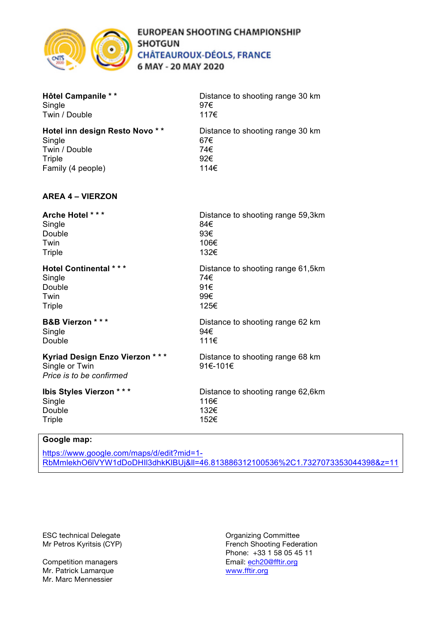

| <b>Hôtel Campanile **</b>      | Distance to shooting range 30 km  |
|--------------------------------|-----------------------------------|
| Single                         | 97€                               |
| Twin / Double                  | 117€                              |
| Hotel inn design Resto Novo ** | Distance to shooting range 30 km  |
| Single                         | 67€                               |
| Twin / Double                  | 74€                               |
| Triple                         | 92€                               |
| Family (4 people)              | 114€                              |
| <b>AREA 4 - VIERZON</b>        |                                   |
| Arche Hotel ***                | Distance to shooting range 59,3km |
| Single                         | 84€                               |
| Double                         | 93€                               |

Twin  $\sim$  106 $\in$ Triple 132€

#### **Hotel Continental \* \* \*** Distance to shooting range 61,5km Single 74€<br>Double 91€ Double Twin  $99<sup>€</sup>$

Single 94€ Double 111€

#### **Kyriad Design Enzo Vierzon \* \* \*** Distance to shooting range 68 km Single or Twin 91€-101€

Triple  $\qquad \qquad \qquad$  125 $\in$ 

*Price is to be confirmed*

# Single 116€

Double 132€ Triple 152€

# **B&B Vierzon** \* \* \* Distance to shooting range 62 km

**Ibis Styles Vierzon \* \* \*** Distance to shooting range 62,6km

### **Google map:**

https://www.google.com/maps/d/edit?mid=1- RbMmlekhO6lVYW1dDoDHIl3dhkKlBUj&ll=46.813886312100536%2C1.7327073353044398&z=11

ESC technical Delegate **Committee** Committee

Mr. Patrick Lamarque **WARES** WWW.fftir.org Mr. Marc Mennessier

Mr Petros Kyritsis (CYP) The Contract of Petros Kyritsis (CYP) French Shooting Federation Phone: +33 1 58 05 45 11 Competition managers **Email:** ech<sub>20@fftir.org</sub>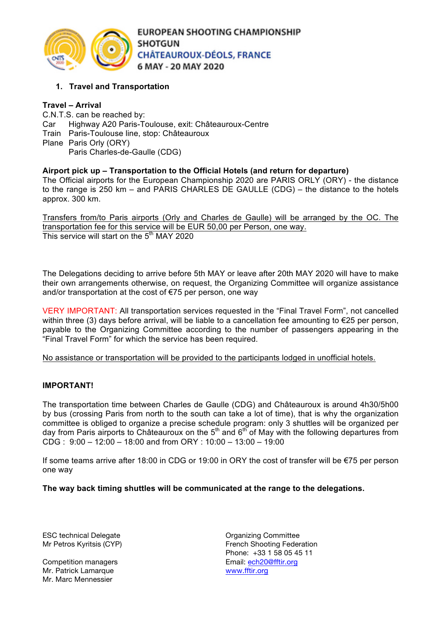

## **1. Travel and Transportation**

### **Travel – Arrival**

C.N.T.S. can be reached by: Car Highway A20 Paris-Toulouse, exit: Châteauroux-Centre Train Paris-Toulouse line, stop: Châteauroux Plane Paris Orly (ORY) Paris Charles-de-Gaulle (CDG)

#### **Airport pick up – Transportation to the Official Hotels (and return for departure)**

The Official airports for the European Championship 2020 are PARIS ORLY (ORY) - the distance to the range is 250 km – and PARIS CHARLES DE GAULLE (CDG) – the distance to the hotels approx. 300 km.

Transfers from/to Paris airports (Orly and Charles de Gaulle) will be arranged by the OC. The transportation fee for this service will be EUR 50,00 per Person, one way. This service will start on the 5<sup>th</sup> MAY 2020

The Delegations deciding to arrive before 5th MAY or leave after 20th MAY 2020 will have to make their own arrangements otherwise, on request, the Organizing Committee will organize assistance and/or transportation at the cost of €75 per person, one way

VERY IMPORTANT: All transportation services requested in the "Final Travel Form", not cancelled within three (3) days before arrival, will be liable to a cancellation fee amounting to €25 per person, payable to the Organizing Committee according to the number of passengers appearing in the "Final Travel Form" for which the service has been required.

No assistance or transportation will be provided to the participants lodged in unofficial hotels.

### **IMPORTANT!**

The transportation time between Charles de Gaulle (CDG) and Châteauroux is around 4h30/5h00 by bus (crossing Paris from north to the south can take a lot of time), that is why the organization committee is obliged to organize a precise schedule program: only 3 shuttles will be organized per day from Paris airports to Châteauroux on the  $5<sup>th</sup>$  and  $6<sup>th</sup>$  of May with the following departures from  $CDG : 9:00 - 12:00 - 18:00$  and from ORY : 10:00 - 13:00 - 19:00

If some teams arrive after 18:00 in CDG or 19:00 in ORY the cost of transfer will be €75 per person one way

#### **The way back timing shuttles will be communicated at the range to the delegations.**

ESC technical Delegate **Committee** Committee

Mr. Patrick Lamarque **WARES** WWW.fftir.org Mr. Marc Mennessier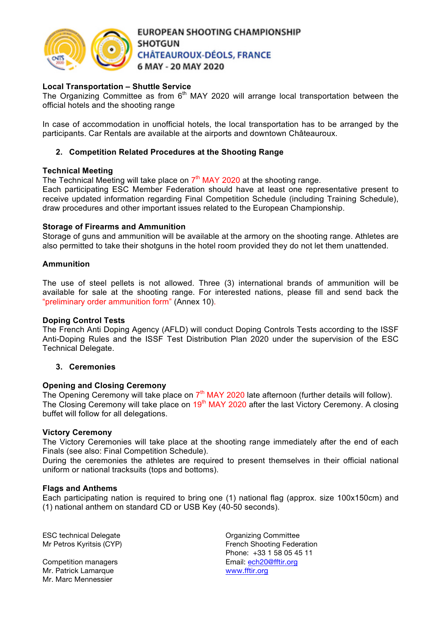

#### **Local Transportation – Shuttle Service**

The Organizing Committee as from  $6<sup>th</sup>$  MAY 2020 will arrange local transportation between the official hotels and the shooting range

In case of accommodation in unofficial hotels, the local transportation has to be arranged by the participants. Car Rentals are available at the airports and downtown Châteauroux.

#### **2. Competition Related Procedures at the Shooting Range**

#### **Technical Meeting**

The Technical Meeting will take place on  $7<sup>th</sup>$  MAY 2020 at the shooting range.

Each participating ESC Member Federation should have at least one representative present to receive updated information regarding Final Competition Schedule (including Training Schedule), draw procedures and other important issues related to the European Championship.

#### **Storage of Firearms and Ammunition**

Storage of guns and ammunition will be available at the armory on the shooting range. Athletes are also permitted to take their shotguns in the hotel room provided they do not let them unattended.

#### **Ammunition**

The use of steel pellets is not allowed. Three (3) international brands of ammunition will be available for sale at the shooting range. For interested nations, please fill and send back the "preliminary order ammunition form" (Annex 10).

#### **Doping Control Tests**

The French Anti Doping Agency (AFLD) will conduct Doping Controls Tests according to the ISSF Anti-Doping Rules and the ISSF Test Distribution Plan 2020 under the supervision of the ESC Technical Delegate.

#### **3. Ceremonies**

#### **Opening and Closing Ceremony**

The Opening Ceremony will take place on  $7<sup>th</sup>$  MAY 2020 late afternoon (further details will follow). The Closing Ceremony will take place on 19<sup>th</sup> MAY 2020 after the last Victory Ceremony. A closing buffet will follow for all delegations.

#### **Victory Ceremony**

The Victory Ceremonies will take place at the shooting range immediately after the end of each Finals (see also: Final Competition Schedule).

During the ceremonies the athletes are required to present themselves in their official national uniform or national tracksuits (tops and bottoms).

#### **Flags and Anthems**

Each participating nation is required to bring one (1) national flag (approx. size 100x150cm) and (1) national anthem on standard CD or USB Key (40-50 seconds).

ESC technical Delegate **Committee** Committee

Competition managers example and the mail: ech20@fftir.org Mr. Patrick Lamarque **WARES** WWW.fftir.org Mr. Marc Mennessier